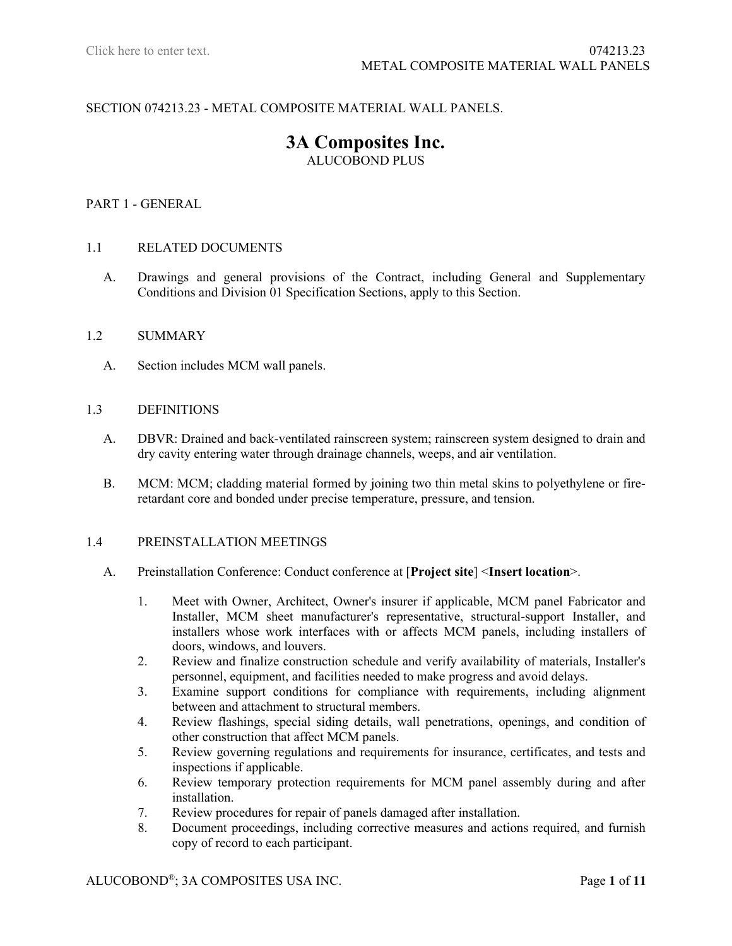# SECTION 074213.23 - METAL COMPOSITE MATERIAL WALL PANELS.

# **3A Composites Inc.** ALUCOBOND PLUS

#### PART 1 - GENERAL

#### 1.1 RELATED DOCUMENTS

A. Drawings and general provisions of the Contract, including General and Supplementary Conditions and Division 01 Specification Sections, apply to this Section.

#### 1.2 SUMMARY

A. Section includes MCM wall panels.

#### 1.3 DEFINITIONS

- A. DBVR: Drained and back-ventilated rainscreen system; rainscreen system designed to drain and dry cavity entering water through drainage channels, weeps, and air ventilation.
- B. MCM: MCM; cladding material formed by joining two thin metal skins to polyethylene or fireretardant core and bonded under precise temperature, pressure, and tension.

#### 1.4 PREINSTALLATION MEETINGS

- A. Preinstallation Conference: Conduct conference at [**Project site**] <**Insert location**>.
	- 1. Meet with Owner, Architect, Owner's insurer if applicable, MCM panel Fabricator and Installer, MCM sheet manufacturer's representative, structural-support Installer, and installers whose work interfaces with or affects MCM panels, including installers of doors, windows, and louvers.
	- 2. Review and finalize construction schedule and verify availability of materials, Installer's personnel, equipment, and facilities needed to make progress and avoid delays.
	- 3. Examine support conditions for compliance with requirements, including alignment between and attachment to structural members.
	- 4. Review flashings, special siding details, wall penetrations, openings, and condition of other construction that affect MCM panels.
	- 5. Review governing regulations and requirements for insurance, certificates, and tests and inspections if applicable.
	- 6. Review temporary protection requirements for MCM panel assembly during and after installation.
	- 7. Review procedures for repair of panels damaged after installation.
	- 8. Document proceedings, including corrective measures and actions required, and furnish copy of record to each participant.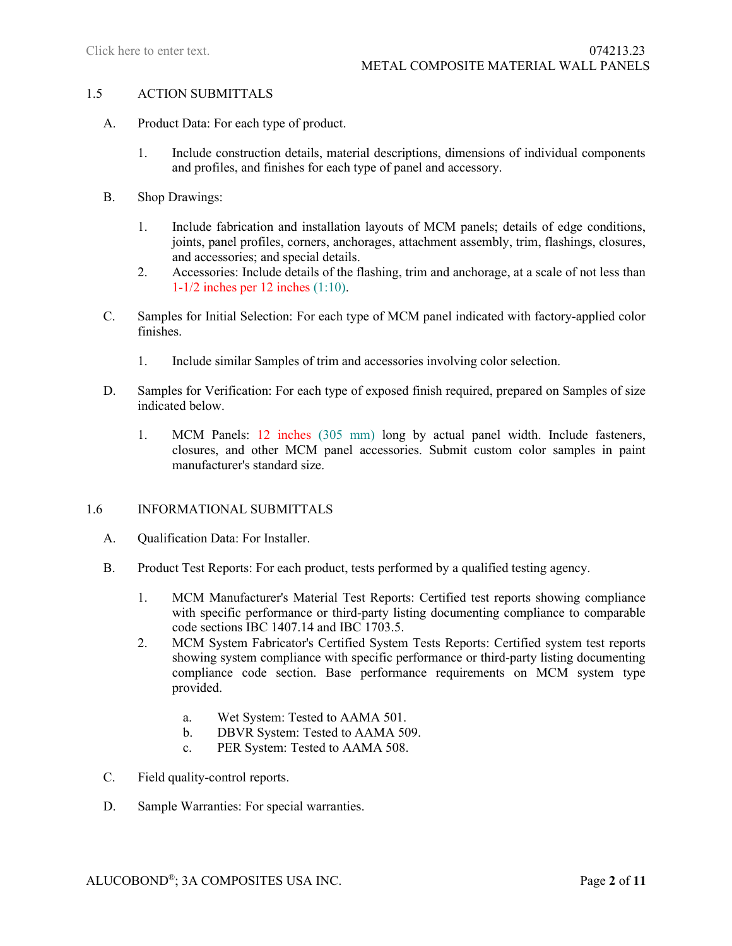#### 1.5 ACTION SUBMITTALS

- A. Product Data: For each type of product.
	- 1. Include construction details, material descriptions, dimensions of individual components and profiles, and finishes for each type of panel and accessory.
- B. Shop Drawings:
	- 1. Include fabrication and installation layouts of MCM panels; details of edge conditions, joints, panel profiles, corners, anchorages, attachment assembly, trim, flashings, closures, and accessories; and special details.
	- 2. Accessories: Include details of the flashing, trim and anchorage, at a scale of not less than 1-1/2 inches per 12 inches (1:10).
- C. Samples for Initial Selection: For each type of MCM panel indicated with factory-applied color finishes.
	- 1. Include similar Samples of trim and accessories involving color selection.
- D. Samples for Verification: For each type of exposed finish required, prepared on Samples of size indicated below.
	- 1. MCM Panels: 12 inches (305 mm) long by actual panel width. Include fasteners, closures, and other MCM panel accessories. Submit custom color samples in paint manufacturer's standard size.

### 1.6 INFORMATIONAL SUBMITTALS

- A. Qualification Data: For Installer.
- B. Product Test Reports: For each product, tests performed by a qualified testing agency.
	- 1. MCM Manufacturer's Material Test Reports: Certified test reports showing compliance with specific performance or third-party listing documenting compliance to comparable code sections IBC 1407.14 and IBC 1703.5.
	- 2. MCM System Fabricator's Certified System Tests Reports: Certified system test reports showing system compliance with specific performance or third-party listing documenting compliance code section. Base performance requirements on MCM system type provided.
		- a. Wet System: Tested to AAMA 501.
		- b. DBVR System: Tested to AAMA 509.
		- c. PER System: Tested to AAMA 508.
- C. Field quality-control reports.
- D. Sample Warranties: For special warranties.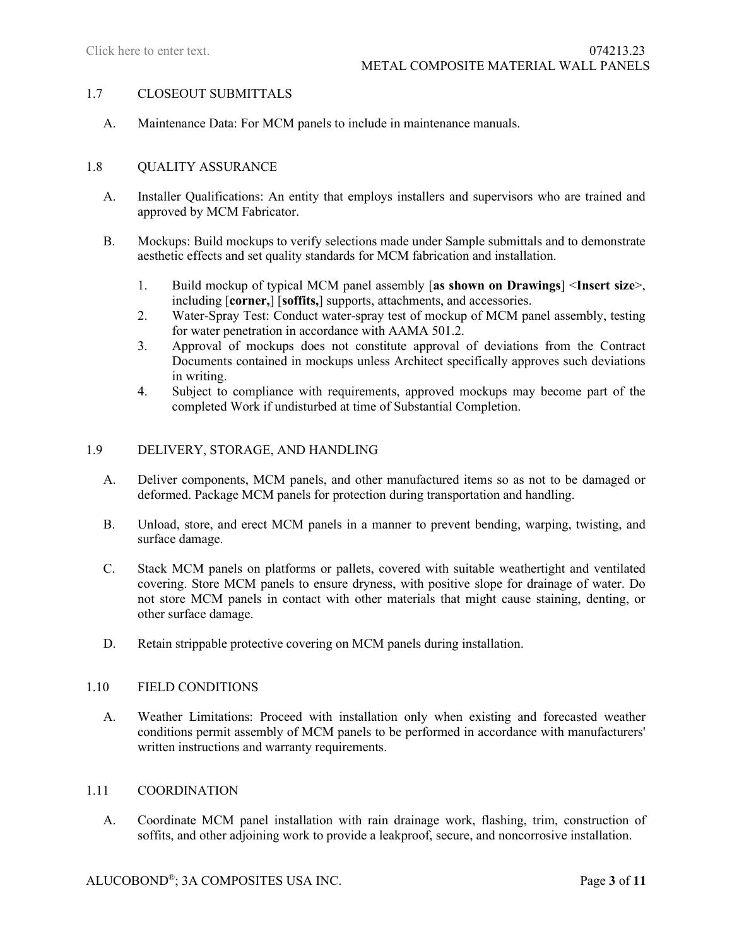### 1.7 CLOSEOUT SUBMITTALS

A. Maintenance Data: For MCM panels to include in maintenance manuals.

### 1.8 OUALITY ASSURANCE

- A. Installer Qualifications: An entity that employs installers and supervisors who are trained and approved by MCM Fabricator.
- B. Mockups: Build mockups to verify selections made under Sample submittals and to demonstrate aesthetic effects and set quality standards for MCM fabrication and installation.
	- 1. Build mockup of typical MCM panel assembly [**as shown on Drawings**] <**Insert size**>, including [**corner,**] [**soffits,**] supports, attachments, and accessories.
	- 2. Water-Spray Test: Conduct water-spray test of mockup of MCM panel assembly, testing for water penetration in accordance with AAMA 501.2.
	- 3. Approval of mockups does not constitute approval of deviations from the Contract Documents contained in mockups unless Architect specifically approves such deviations in writing.
	- 4. Subject to compliance with requirements, approved mockups may become part of the completed Work if undisturbed at time of Substantial Completion.

### 1.9 DELIVERY, STORAGE, AND HANDLING

- A. Deliver components, MCM panels, and other manufactured items so as not to be damaged or deformed. Package MCM panels for protection during transportation and handling.
- B. Unload, store, and erect MCM panels in a manner to prevent bending, warping, twisting, and surface damage.
- C. Stack MCM panels on platforms or pallets, covered with suitable weathertight and ventilated covering. Store MCM panels to ensure dryness, with positive slope for drainage of water. Do not store MCM panels in contact with other materials that might cause staining, denting, or other surface damage.
- D. Retain strippable protective covering on MCM panels during installation.

### 1.10 FIELD CONDITIONS

A. Weather Limitations: Proceed with installation only when existing and forecasted weather conditions permit assembly of MCM panels to be performed in accordance with manufacturers' written instructions and warranty requirements.

### 1.11 COORDINATION

A. Coordinate MCM panel installation with rain drainage work, flashing, trim, construction of soffits, and other adjoining work to provide a leakproof, secure, and noncorrosive installation.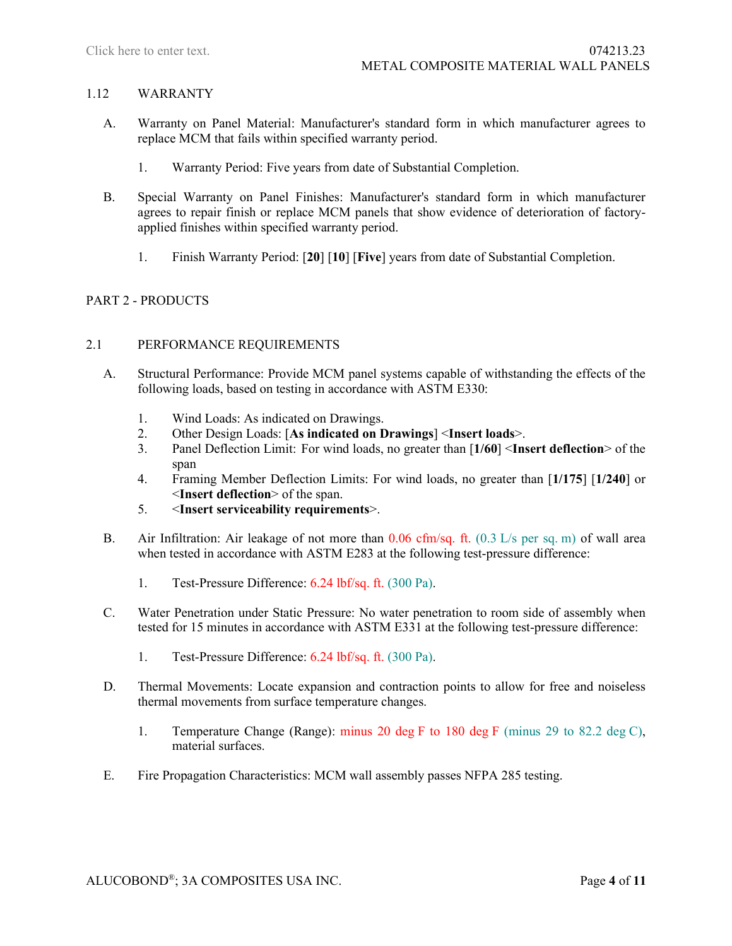### 1.12 WARRANTY

- A. Warranty on Panel Material: Manufacturer's standard form in which manufacturer agrees to replace MCM that fails within specified warranty period.
	- 1. Warranty Period: Five years from date of Substantial Completion.
- B. Special Warranty on Panel Finishes: Manufacturer's standard form in which manufacturer agrees to repair finish or replace MCM panels that show evidence of deterioration of factoryapplied finishes within specified warranty period.
	- 1. Finish Warranty Period: [**20**] [**10**] [**Five**] years from date of Substantial Completion.

### PART 2 - PRODUCTS

### 2.1 PERFORMANCE REQUIREMENTS

- A. Structural Performance: Provide MCM panel systems capable of withstanding the effects of the following loads, based on testing in accordance with ASTM E330:
	- 1. Wind Loads: As indicated on Drawings.
	- 2. Other Design Loads: [**As indicated on Drawings**] <**Insert loads**>.
	- 3. Panel Deflection Limit: For wind loads, no greater than [**1/60**] <**Insert deflection**> of the span
	- 4. Framing Member Deflection Limits: For wind loads, no greater than [**1/175**] [**1/240**] or <**Insert deflection**> of the span.
	- 5. <**Insert serviceability requirements**>.
- B. Air Infiltration: Air leakage of not more than  $0.06 \text{ cfm/sq}$ . ft.  $(0.3 \text{ L/s} \text{ per sq. m})$  of wall area when tested in accordance with ASTM E283 at the following test-pressure difference:
	- 1. Test-Pressure Difference: 6.24 lbf/sq. ft. (300 Pa).
- C. Water Penetration under Static Pressure: No water penetration to room side of assembly when tested for 15 minutes in accordance with ASTM E331 at the following test-pressure difference:
	- 1. Test-Pressure Difference: 6.24 lbf/sq. ft. (300 Pa).
- D. Thermal Movements: Locate expansion and contraction points to allow for free and noiseless thermal movements from surface temperature changes.
	- 1. Temperature Change (Range): minus 20 deg F to 180 deg F (minus 29 to 82.2 deg C), material surfaces.
- E. Fire Propagation Characteristics: MCM wall assembly passes NFPA 285 testing.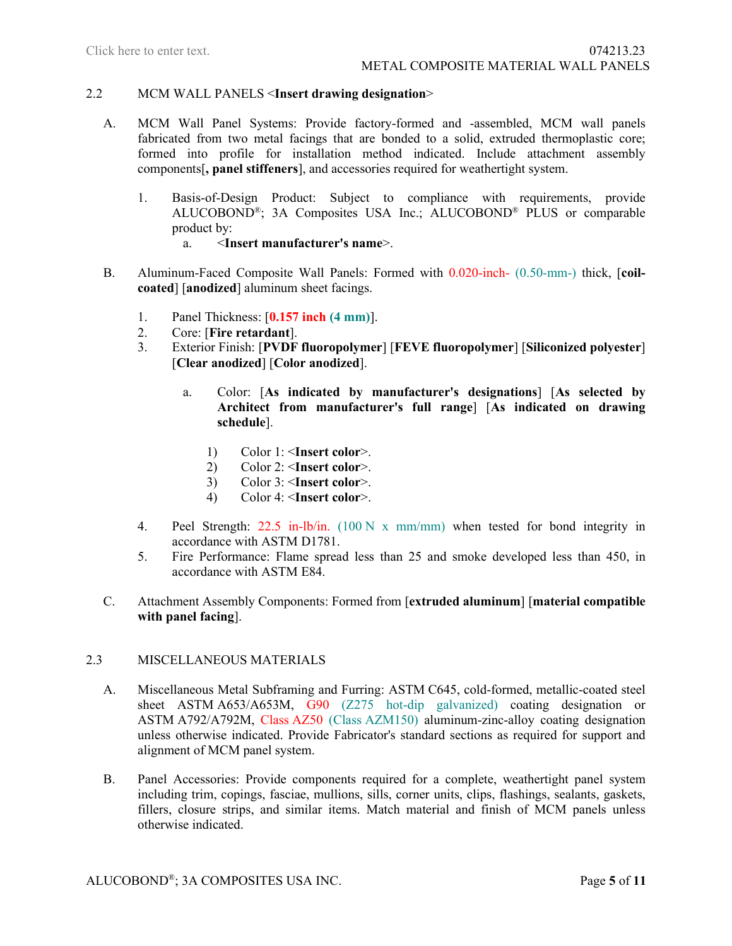## 2.2 MCM WALL PANELS <**Insert drawing designation**>

- A. MCM Wall Panel Systems: Provide factory-formed and -assembled, MCM wall panels fabricated from two metal facings that are bonded to a solid, extruded thermoplastic core; formed into profile for installation method indicated. Include attachment assembly components[**, panel stiffeners**], and accessories required for weathertight system.
	- 1. Basis-of-Design Product: Subject to compliance with requirements, provide ALUCOBOND®; 3A Composites USA Inc.; ALUCOBOND® PLUS or comparable product by:<br> $a \leq \ln$ a. <**Insert manufacturer's name**>.
- B. Aluminum-Faced Composite Wall Panels: Formed with 0.020-inch- (0.50-mm-) thick, [**coil**
	- **coated**] [**anodized**] aluminum sheet facings.
	- 1. Panel Thickness: [**0.157 inch (4 mm)**].
	- 2. Core: [**Fire retardant**].
	- 3. Exterior Finish: [**PVDF fluoropolymer**] [**FEVE fluoropolymer**] [**Siliconized polyester**] [**Clear anodized**] [**Color anodized**].
		- a. Color: [**As indicated by manufacturer's designations**] [**As selected by Architect from manufacturer's full range**] [**As indicated on drawing schedule**].
			- 1) Color 1: <**Insert color**>.
			- 2) Color 2: <**Insert color**>.
			- 3) Color 3: <**Insert color**>.
			- 4) Color 4: <**Insert color**>.
	- 4. Peel Strength: 22.5 in-lb/in. (100 N x mm/mm) when tested for bond integrity in accordance with ASTM D1781.
	- 5. Fire Performance: Flame spread less than 25 and smoke developed less than 450, in accordance with ASTM E84.
- C. Attachment Assembly Components: Formed from [**extruded aluminum**] [**material compatible with panel facing**].

### 2.3 MISCELLANEOUS MATERIALS

- A. Miscellaneous Metal Subframing and Furring: ASTM C645, cold-formed, metallic-coated steel sheet ASTM A653/A653M, G90 (Z275 hot-dip galvanized) coating designation or ASTM A792/A792M, Class AZ50 (Class AZM150) aluminum-zinc-alloy coating designation unless otherwise indicated. Provide Fabricator's standard sections as required for support and alignment of MCM panel system.
- B. Panel Accessories: Provide components required for a complete, weathertight panel system including trim, copings, fasciae, mullions, sills, corner units, clips, flashings, sealants, gaskets, fillers, closure strips, and similar items. Match material and finish of MCM panels unless otherwise indicated.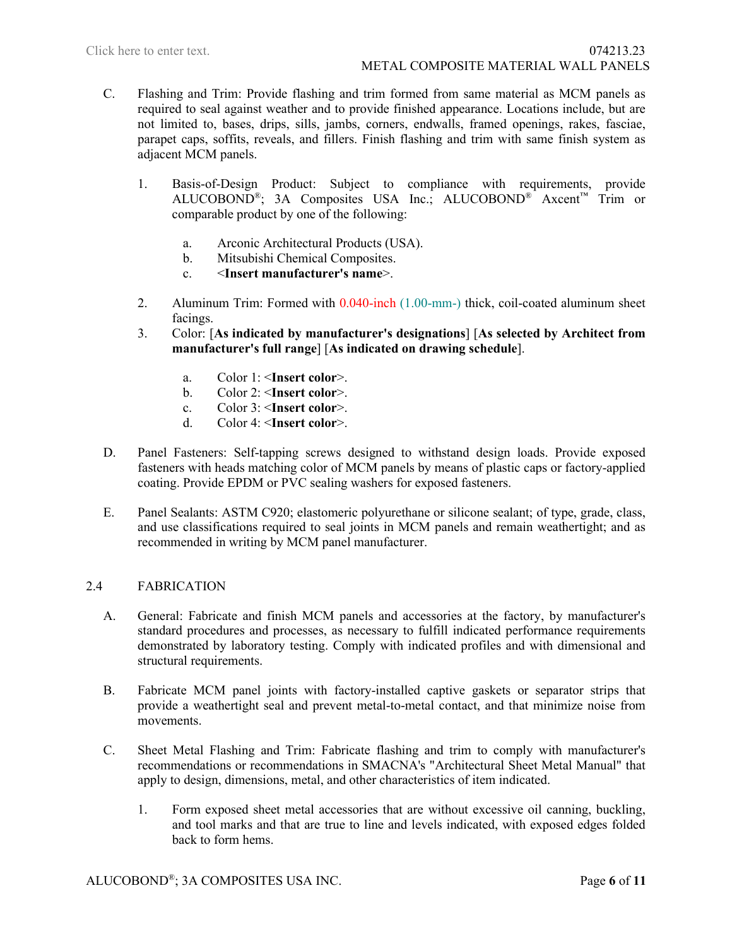- C. Flashing and Trim: Provide flashing and trim formed from same material as MCM panels as required to seal against weather and to provide finished appearance. Locations include, but are not limited to, bases, drips, sills, jambs, corners, endwalls, framed openings, rakes, fasciae, parapet caps, soffits, reveals, and fillers. Finish flashing and trim with same finish system as adjacent MCM panels.
	- 1. Basis-of-Design Product: Subject to compliance with requirements, provide ALUCOBOND®; 3A Composites USA Inc.; ALUCOBOND® Axcent™ Trim or comparable product by one of the following:
		- a. Arconic Architectural Products (USA).
		- b. Mitsubishi Chemical Composites.
		- c. <**Insert manufacturer's name**>.
	- 2. Aluminum Trim: Formed with 0.040-inch (1.00-mm-) thick, coil-coated aluminum sheet facings.
	- 3. Color: [**As indicated by manufacturer's designations**] [**As selected by Architect from manufacturer's full range**] [**As indicated on drawing schedule**].
		- a. Color 1: <**Insert color**>.
		- b. Color 2: <**Insert color**>.
		- c. Color 3: <**Insert color**>.
		- d. Color 4: <**Insert color**>.
- D. Panel Fasteners: Self-tapping screws designed to withstand design loads. Provide exposed fasteners with heads matching color of MCM panels by means of plastic caps or factory-applied coating. Provide EPDM or PVC sealing washers for exposed fasteners.
- E. Panel Sealants: ASTM C920; elastomeric polyurethane or silicone sealant; of type, grade, class, and use classifications required to seal joints in MCM panels and remain weathertight; and as recommended in writing by MCM panel manufacturer.

# 2.4 FABRICATION

- A. General: Fabricate and finish MCM panels and accessories at the factory, by manufacturer's standard procedures and processes, as necessary to fulfill indicated performance requirements demonstrated by laboratory testing. Comply with indicated profiles and with dimensional and structural requirements.
- B. Fabricate MCM panel joints with factory-installed captive gaskets or separator strips that provide a weathertight seal and prevent metal-to-metal contact, and that minimize noise from movements.
- C. Sheet Metal Flashing and Trim: Fabricate flashing and trim to comply with manufacturer's recommendations or recommendations in SMACNA's "Architectural Sheet Metal Manual" that apply to design, dimensions, metal, and other characteristics of item indicated.
	- 1. Form exposed sheet metal accessories that are without excessive oil canning, buckling, and tool marks and that are true to line and levels indicated, with exposed edges folded back to form hems.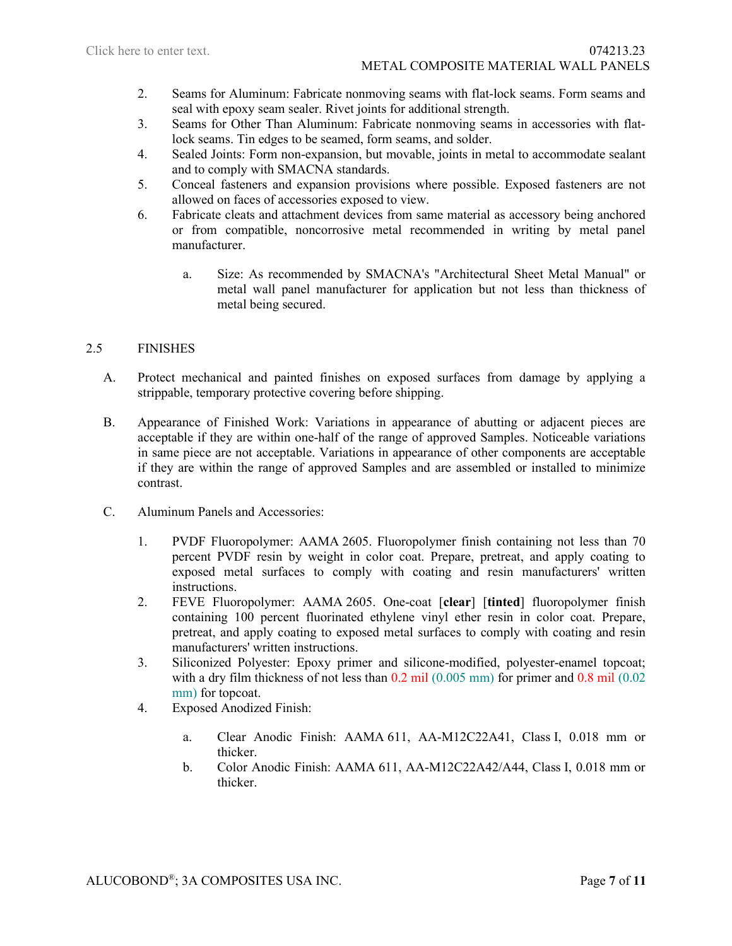- 2. Seams for Aluminum: Fabricate nonmoving seams with flat-lock seams. Form seams and seal with epoxy seam sealer. Rivet joints for additional strength.
- 3. Seams for Other Than Aluminum: Fabricate nonmoving seams in accessories with flatlock seams. Tin edges to be seamed, form seams, and solder.
- 4. Sealed Joints: Form non-expansion, but movable, joints in metal to accommodate sealant and to comply with SMACNA standards.
- 5. Conceal fasteners and expansion provisions where possible. Exposed fasteners are not allowed on faces of accessories exposed to view.
- 6. Fabricate cleats and attachment devices from same material as accessory being anchored or from compatible, noncorrosive metal recommended in writing by metal panel manufacturer.
	- a. Size: As recommended by SMACNA's "Architectural Sheet Metal Manual" or metal wall panel manufacturer for application but not less than thickness of metal being secured.

# 2.5 FINISHES

- A. Protect mechanical and painted finishes on exposed surfaces from damage by applying a strippable, temporary protective covering before shipping.
- B. Appearance of Finished Work: Variations in appearance of abutting or adjacent pieces are acceptable if they are within one-half of the range of approved Samples. Noticeable variations in same piece are not acceptable. Variations in appearance of other components are acceptable if they are within the range of approved Samples and are assembled or installed to minimize contrast.
- C. Aluminum Panels and Accessories:
	- 1. PVDF Fluoropolymer: AAMA 2605. Fluoropolymer finish containing not less than 70 percent PVDF resin by weight in color coat. Prepare, pretreat, and apply coating to exposed metal surfaces to comply with coating and resin manufacturers' written instructions.
	- 2. FEVE Fluoropolymer: AAMA 2605. One-coat [**clear**] [**tinted**] fluoropolymer finish containing 100 percent fluorinated ethylene vinyl ether resin in color coat. Prepare, pretreat, and apply coating to exposed metal surfaces to comply with coating and resin manufacturers' written instructions.
	- 3. Siliconized Polyester: Epoxy primer and silicone-modified, polyester-enamel topcoat; with a dry film thickness of not less than  $0.2$  mil  $(0.005$  mm) for primer and  $0.8$  mil  $(0.02$ mm) for topcoat.
	- 4. Exposed Anodized Finish:
		- a. Clear Anodic Finish: AAMA 611, AA-M12C22A41, Class I, 0.018 mm or thicker.
		- b. Color Anodic Finish: AAMA 611, AA-M12C22A42/A44, Class I, 0.018 mm or thicker.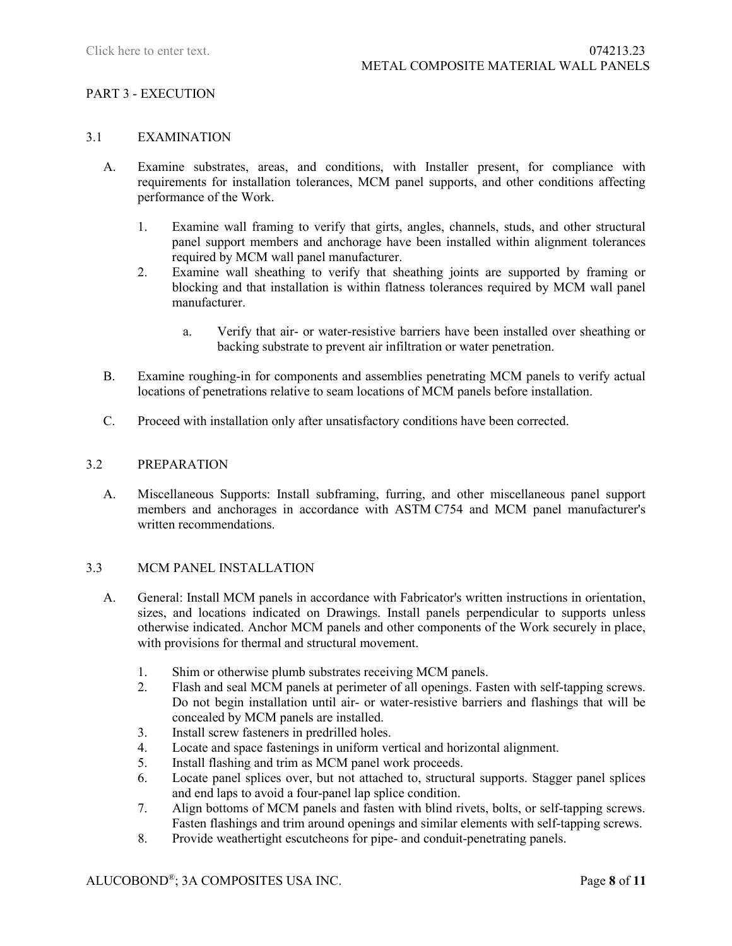### PART 3 - EXECUTION

#### 3.1 EXAMINATION

- A. Examine substrates, areas, and conditions, with Installer present, for compliance with requirements for installation tolerances, MCM panel supports, and other conditions affecting performance of the Work.
	- 1. Examine wall framing to verify that girts, angles, channels, studs, and other structural panel support members and anchorage have been installed within alignment tolerances required by MCM wall panel manufacturer.
	- 2. Examine wall sheathing to verify that sheathing joints are supported by framing or blocking and that installation is within flatness tolerances required by MCM wall panel manufacturer.
		- a. Verify that air- or water-resistive barriers have been installed over sheathing or backing substrate to prevent air infiltration or water penetration.
- B. Examine roughing-in for components and assemblies penetrating MCM panels to verify actual locations of penetrations relative to seam locations of MCM panels before installation.
- C. Proceed with installation only after unsatisfactory conditions have been corrected.

#### 3.2 PREPARATION

A. Miscellaneous Supports: Install subframing, furring, and other miscellaneous panel support members and anchorages in accordance with ASTM C754 and MCM panel manufacturer's written recommendations.

### 3.3 MCM PANEL INSTALLATION

- A. General: Install MCM panels in accordance with Fabricator's written instructions in orientation, sizes, and locations indicated on Drawings. Install panels perpendicular to supports unless otherwise indicated. Anchor MCM panels and other components of the Work securely in place, with provisions for thermal and structural movement.
	- 1. Shim or otherwise plumb substrates receiving MCM panels.
	- 2. Flash and seal MCM panels at perimeter of all openings. Fasten with self-tapping screws. Do not begin installation until air- or water-resistive barriers and flashings that will be concealed by MCM panels are installed.
	- 3. Install screw fasteners in predrilled holes.
	- 4. Locate and space fastenings in uniform vertical and horizontal alignment.
	- 5. Install flashing and trim as MCM panel work proceeds.
	- 6. Locate panel splices over, but not attached to, structural supports. Stagger panel splices and end laps to avoid a four-panel lap splice condition.
	- 7. Align bottoms of MCM panels and fasten with blind rivets, bolts, or self-tapping screws. Fasten flashings and trim around openings and similar elements with self-tapping screws.
	- 8. Provide weathertight escutcheons for pipe- and conduit-penetrating panels.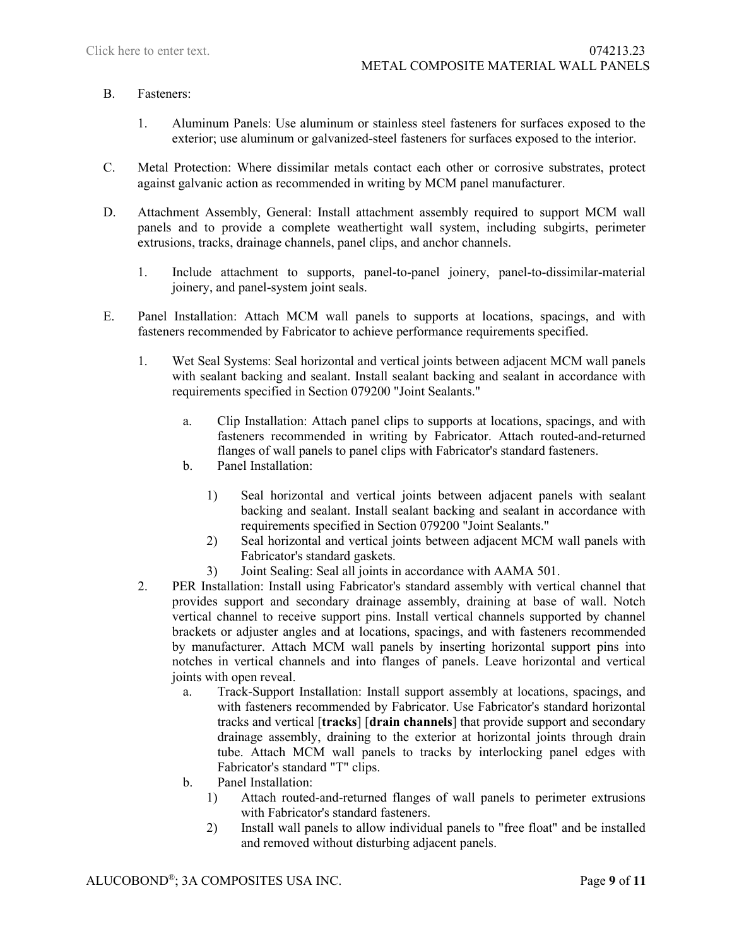#### B. Fasteners:

- 1. Aluminum Panels: Use aluminum or stainless steel fasteners for surfaces exposed to the exterior; use aluminum or galvanized-steel fasteners for surfaces exposed to the interior.
- C. Metal Protection: Where dissimilar metals contact each other or corrosive substrates, protect against galvanic action as recommended in writing by MCM panel manufacturer.
- D. Attachment Assembly, General: Install attachment assembly required to support MCM wall panels and to provide a complete weathertight wall system, including subgirts, perimeter extrusions, tracks, drainage channels, panel clips, and anchor channels.
	- 1. Include attachment to supports, panel-to-panel joinery, panel-to-dissimilar-material joinery, and panel-system joint seals.
- E. Panel Installation: Attach MCM wall panels to supports at locations, spacings, and with fasteners recommended by Fabricator to achieve performance requirements specified.
	- 1. Wet Seal Systems: Seal horizontal and vertical joints between adjacent MCM wall panels with sealant backing and sealant. Install sealant backing and sealant in accordance with requirements specified in Section 079200 "Joint Sealants."
		- a. Clip Installation: Attach panel clips to supports at locations, spacings, and with fasteners recommended in writing by Fabricator. Attach routed-and-returned flanges of wall panels to panel clips with Fabricator's standard fasteners.
		- b. Panel Installation:
			- 1) Seal horizontal and vertical joints between adjacent panels with sealant backing and sealant. Install sealant backing and sealant in accordance with requirements specified in Section 079200 "Joint Sealants."
			- 2) Seal horizontal and vertical joints between adjacent MCM wall panels with Fabricator's standard gaskets.
			- 3) Joint Sealing: Seal all joints in accordance with AAMA 501.
	- 2. PER Installation: Install using Fabricator's standard assembly with vertical channel that provides support and secondary drainage assembly, draining at base of wall. Notch vertical channel to receive support pins. Install vertical channels supported by channel brackets or adjuster angles and at locations, spacings, and with fasteners recommended by manufacturer. Attach MCM wall panels by inserting horizontal support pins into notches in vertical channels and into flanges of panels. Leave horizontal and vertical joints with open reveal.
		- a. Track-Support Installation: Install support assembly at locations, spacings, and with fasteners recommended by Fabricator. Use Fabricator's standard horizontal tracks and vertical [**tracks**] [**drain channels**] that provide support and secondary drainage assembly, draining to the exterior at horizontal joints through drain tube. Attach MCM wall panels to tracks by interlocking panel edges with Fabricator's standard "T" clips.
		- b. Panel Installation:
			- 1) Attach routed-and-returned flanges of wall panels to perimeter extrusions with Fabricator's standard fasteners.
			- 2) Install wall panels to allow individual panels to "free float" and be installed and removed without disturbing adjacent panels.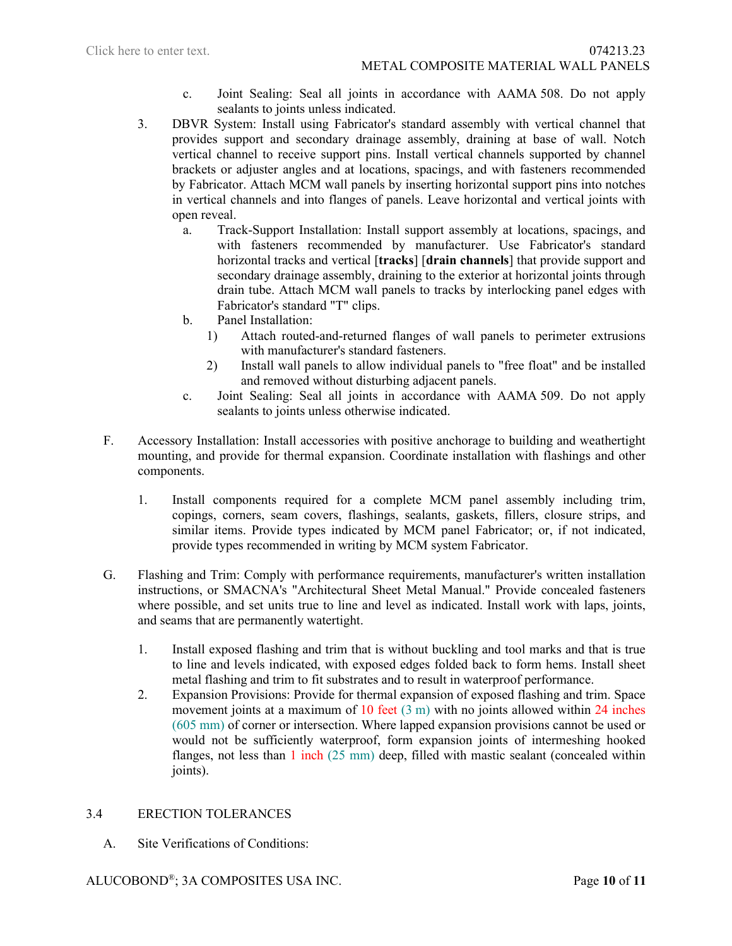- c. Joint Sealing: Seal all joints in accordance with AAMA 508. Do not apply sealants to joints unless indicated.
- 3. DBVR System: Install using Fabricator's standard assembly with vertical channel that provides support and secondary drainage assembly, draining at base of wall. Notch vertical channel to receive support pins. Install vertical channels supported by channel brackets or adjuster angles and at locations, spacings, and with fasteners recommended by Fabricator. Attach MCM wall panels by inserting horizontal support pins into notches in vertical channels and into flanges of panels. Leave horizontal and vertical joints with open reveal.
	- a. Track-Support Installation: Install support assembly at locations, spacings, and with fasteners recommended by manufacturer. Use Fabricator's standard horizontal tracks and vertical [**tracks**] [**drain channels**] that provide support and secondary drainage assembly, draining to the exterior at horizontal joints through drain tube. Attach MCM wall panels to tracks by interlocking panel edges with Fabricator's standard "T" clips.
	- b. Panel Installation:
		- 1) Attach routed-and-returned flanges of wall panels to perimeter extrusions with manufacturer's standard fasteners.
		- 2) Install wall panels to allow individual panels to "free float" and be installed and removed without disturbing adjacent panels.
	- c. Joint Sealing: Seal all joints in accordance with AAMA 509. Do not apply sealants to joints unless otherwise indicated.
- F. Accessory Installation: Install accessories with positive anchorage to building and weathertight mounting, and provide for thermal expansion. Coordinate installation with flashings and other components.
	- 1. Install components required for a complete MCM panel assembly including trim, copings, corners, seam covers, flashings, sealants, gaskets, fillers, closure strips, and similar items. Provide types indicated by MCM panel Fabricator; or, if not indicated, provide types recommended in writing by MCM system Fabricator.
- G. Flashing and Trim: Comply with performance requirements, manufacturer's written installation instructions, or SMACNA's "Architectural Sheet Metal Manual." Provide concealed fasteners where possible, and set units true to line and level as indicated. Install work with laps, joints, and seams that are permanently watertight.
	- 1. Install exposed flashing and trim that is without buckling and tool marks and that is true to line and levels indicated, with exposed edges folded back to form hems. Install sheet metal flashing and trim to fit substrates and to result in waterproof performance.
	- 2. Expansion Provisions: Provide for thermal expansion of exposed flashing and trim. Space movement joints at a maximum of 10 feet (3 m) with no joints allowed within 24 inches (605 mm) of corner or intersection. Where lapped expansion provisions cannot be used or would not be sufficiently waterproof, form expansion joints of intermeshing hooked flanges, not less than  $1$  inch  $(25 \text{ mm})$  deep, filled with mastic sealant (concealed within joints).

# 3.4 ERECTION TOLERANCES

A. Site Verifications of Conditions: